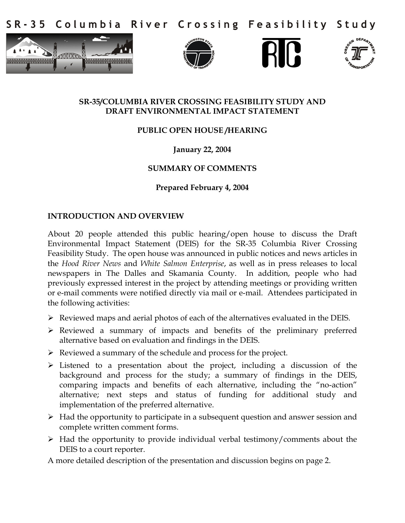Columbia River Crossing Feasibility Study S R - 3 5









## **SR-35/COLUMBIA RIVER CROSSING FEASIBILITY STUDY AND DRAFT ENVIRONMENTAL IMPACT STATEMENT**

# **PUBLIC OPEN HOUSE /HEARING**

## **January 22, 2004**

## **SUMMARY OF COMMENTS**

**Prepared February 4, 2004** 

#### **INTRODUCTION AND OVERVIEW**

About 20 people attended this public hearing/open house to discuss the Draft Environmental Impact Statement (DEIS) for the SR-35 Columbia River Crossing Feasibility Study. The open house was announced in public notices and news articles in the *Hood River News* and *White Salmon Enterprise*, as well as in press releases to local newspapers in The Dalles and Skamania County. In addition, people who had previously expressed interest in the project by attending meetings or providing written or e-mail comments were notified directly via mail or e-mail. Attendees participated in the following activities:

- $\triangleright$  Reviewed maps and aerial photos of each of the alternatives evaluated in the DEIS.
- Reviewed a summary of impacts and benefits of the preliminary preferred alternative based on evaluation and findings in the DEIS.
- $\triangleright$  Reviewed a summary of the schedule and process for the project.
- Listened to a presentation about the project, including a discussion of the background and process for the study; a summary of findings in the DEIS, comparing impacts and benefits of each alternative, including the "no-action" alternative; next steps and status of funding for additional study and implementation of the preferred alternative.
- $\triangleright$  Had the opportunity to participate in a subsequent question and answer session and complete written comment forms.
- $\triangleright$  Had the opportunity to provide individual verbal testimony/comments about the DEIS to a court reporter.

A more detailed description of the presentation and discussion begins on page 2.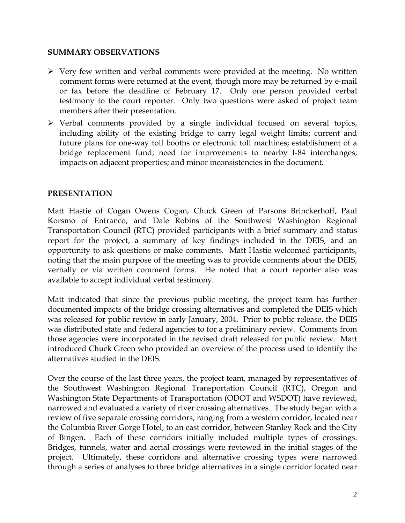### **SUMMARY OBSERVATIONS**

- $\triangleright$  Very few written and verbal comments were provided at the meeting. No written comment forms were returned at the event, though more may be returned by e-mail or fax before the deadline of February 17. Only one person provided verbal testimony to the court reporter. Only two questions were asked of project team members after their presentation.
- $\triangleright$  Verbal comments provided by a single individual focused on several topics, including ability of the existing bridge to carry legal weight limits; current and future plans for one-way toll booths or electronic toll machines; establishment of a bridge replacement fund; need for improvements to nearby I-84 interchanges; impacts on adjacent properties; and minor inconsistencies in the document.

## **PRESENTATION**

Matt Hastie of Cogan Owens Cogan, Chuck Green of Parsons Brinckerhoff, Paul Korsmo of Entranco, and Dale Robins of the Southwest Washington Regional Transportation Council (RTC) provided participants with a brief summary and status report for the project, a summary of key findings included in the DEIS, and an opportunity to ask questions or make comments. Matt Hastie welcomed participants, noting that the main purpose of the meeting was to provide comments about the DEIS, verbally or via written comment forms. He noted that a court reporter also was available to accept individual verbal testimony.

Matt indicated that since the previous public meeting, the project team has further documented impacts of the bridge crossing alternatives and completed the DEIS which was released for public review in early January, 2004. Prior to public release, the DEIS was distributed state and federal agencies to for a preliminary review. Comments from those agencies were incorporated in the revised draft released for public review. Matt introduced Chuck Green who provided an overview of the process used to identify the alternatives studied in the DEIS.

Over the course of the last three years, the project team, managed by representatives of the Southwest Washington Regional Transportation Council (RTC), Oregon and Washington State Departments of Transportation (ODOT and WSDOT) have reviewed, narrowed and evaluated a variety of river crossing alternatives. The study began with a review of five separate crossing corridors, ranging from a western corridor, located near the Columbia River Gorge Hotel, to an east corridor, between Stanley Rock and the City of Bingen. Each of these corridors initially included multiple types of crossings. Bridges, tunnels, water and aerial crossings were reviewed in the initial stages of the project. Ultimately, these corridors and alternative crossing types were narrowed through a series of analyses to three bridge alternatives in a single corridor located near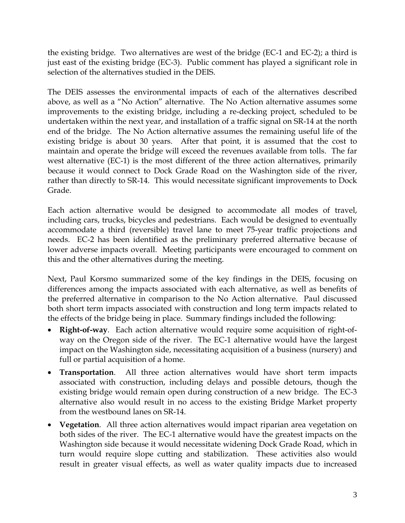the existing bridge. Two alternatives are west of the bridge (EC-1 and EC-2); a third is just east of the existing bridge (EC-3). Public comment has played a significant role in selection of the alternatives studied in the DEIS.

The DEIS assesses the environmental impacts of each of the alternatives described above, as well as a "No Action" alternative. The No Action alternative assumes some improvements to the existing bridge, including a re-decking project, scheduled to be undertaken within the next year, and installation of a traffic signal on SR-14 at the north end of the bridge. The No Action alternative assumes the remaining useful life of the existing bridge is about 30 years. After that point, it is assumed that the cost to maintain and operate the bridge will exceed the revenues available from tolls. The far west alternative (EC-1) is the most different of the three action alternatives, primarily because it would connect to Dock Grade Road on the Washington side of the river, rather than directly to SR-14. This would necessitate significant improvements to Dock Grade.

Each action alternative would be designed to accommodate all modes of travel, including cars, trucks, bicycles and pedestrians. Each would be designed to eventually accommodate a third (reversible) travel lane to meet 75-year traffic projections and needs. EC-2 has been identified as the preliminary preferred alternative because of lower adverse impacts overall. Meeting participants were encouraged to comment on this and the other alternatives during the meeting.

Next, Paul Korsmo summarized some of the key findings in the DEIS, focusing on differences among the impacts associated with each alternative, as well as benefits of the preferred alternative in comparison to the No Action alternative. Paul discussed both short term impacts associated with construction and long term impacts related to the effects of the bridge being in place. Summary findings included the following:

- **Right-of-way**. Each action alternative would require some acquisition of right-ofway on the Oregon side of the river. The EC-1 alternative would have the largest impact on the Washington side, necessitating acquisition of a business (nursery) and full or partial acquisition of a home.
- **Transportation**. All three action alternatives would have short term impacts associated with construction, including delays and possible detours, though the existing bridge would remain open during construction of a new bridge. The EC-3 alternative also would result in no access to the existing Bridge Market property from the westbound lanes on SR-14.
- **Vegetation**. All three action alternatives would impact riparian area vegetation on both sides of the river. The EC-1 alternative would have the greatest impacts on the Washington side because it would necessitate widening Dock Grade Road, which in turn would require slope cutting and stabilization. These activities also would result in greater visual effects, as well as water quality impacts due to increased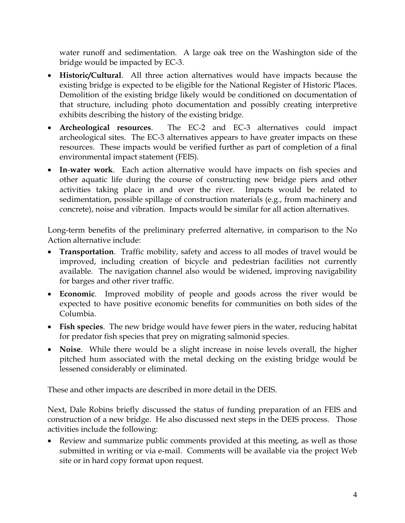water runoff and sedimentation. A large oak tree on the Washington side of the bridge would be impacted by EC-3.

- **Historic/Cultural**. All three action alternatives would have impacts because the existing bridge is expected to be eligible for the National Register of Historic Places. Demolition of the existing bridge likely would be conditioned on documentation of that structure, including photo documentation and possibly creating interpretive exhibits describing the history of the existing bridge.
- **Archeological resources**. The EC-2 and EC-3 alternatives could impact archeological sites. The EC-3 alternatives appears to have greater impacts on these resources. These impacts would be verified further as part of completion of a final environmental impact statement (FEIS).
- **In**-**water work**. Each action alternative would have impacts on fish species and other aquatic life during the course of constructing new bridge piers and other activities taking place in and over the river. Impacts would be related to sedimentation, possible spillage of construction materials (e.g., from machinery and concrete), noise and vibration. Impacts would be similar for all action alternatives.

Long-term benefits of the preliminary preferred alternative, in comparison to the No Action alternative include:

- **Transportation**. Traffic mobility, safety and access to all modes of travel would be improved, including creation of bicycle and pedestrian facilities not currently available. The navigation channel also would be widened, improving navigability for barges and other river traffic.
- **Economic**. Improved mobility of people and goods across the river would be expected to have positive economic benefits for communities on both sides of the Columbia.
- **Fish species**. The new bridge would have fewer piers in the water, reducing habitat for predator fish species that prey on migrating salmonid species.
- **Noise**. While there would be a slight increase in noise levels overall, the higher pitched hum associated with the metal decking on the existing bridge would be lessened considerably or eliminated.

These and other impacts are described in more detail in the DEIS.

Next, Dale Robins briefly discussed the status of funding preparation of an FEIS and construction of a new bridge. He also discussed next steps in the DEIS process. Those activities include the following:

• Review and summarize public comments provided at this meeting, as well as those submitted in writing or via e-mail. Comments will be available via the project Web site or in hard copy format upon request.